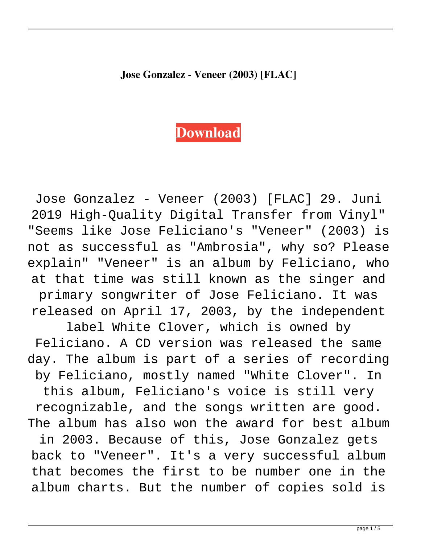## **Jose Gonzalez - Veneer (2003) [FLAC]**

## **[Download](http://evacdir.com/desormeaux.sumant.lairweb/many/tchaikovsky/Sm9zZSBHb256YWxleiAtIFZlbmVlciAoMjAwMykgW0ZMQUNdSm9/ZG93bmxvYWR8UGsxTW1sNk9YeDhNVFkxTWpjME1EZzJObng4TWpVM05IeDhLRTBwSUhKbFlXUXRZbXh2WnlCYlJtRnpkQ0JIUlU1ZA/speeded)**

Jose Gonzalez - Veneer (2003) [FLAC] 29. Juni 2019 High-Quality Digital Transfer from Vinyl" "Seems like Jose Feliciano's "Veneer" (2003) is not as successful as "Ambrosia", why so? Please explain" "Veneer" is an album by Feliciano, who at that time was still known as the singer and primary songwriter of Jose Feliciano. It was released on April 17, 2003, by the independent

label White Clover, which is owned by Feliciano. A CD version was released the same day. The album is part of a series of recording by Feliciano, mostly named "White Clover". In this album, Feliciano's voice is still very recognizable, and the songs written are good. The album has also won the award for best album in 2003. Because of this, Jose Gonzalez gets back to "Veneer". It's a very successful album that becomes the first to be number one in the album charts. But the number of copies sold is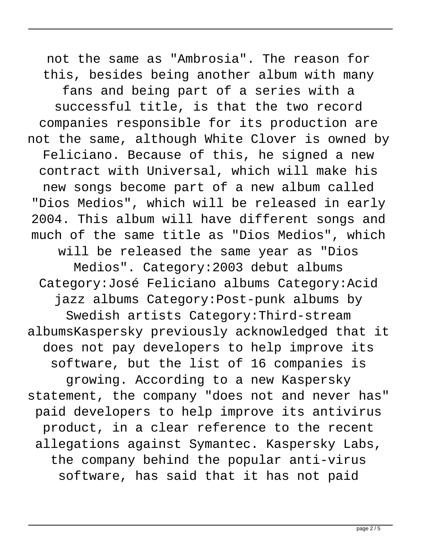not the same as "Ambrosia". The reason for this, besides being another album with many fans and being part of a series with a successful title, is that the two record companies responsible for its production are not the same, although White Clover is owned by Feliciano. Because of this, he signed a new contract with Universal, which will make his new songs become part of a new album called "Dios Medios", which will be released in early 2004. This album will have different songs and much of the same title as "Dios Medios", which will be released the same year as "Dios Medios". Category:2003 debut albums Category:José Feliciano albums Category:Acid jazz albums Category:Post-punk albums by Swedish artists Category:Third-stream albumsKaspersky previously acknowledged that it does not pay developers to help improve its software, but the list of 16 companies is growing. According to a new Kaspersky statement, the company "does not and never has" paid developers to help improve its antivirus product, in a clear reference to the recent allegations against Symantec. Kaspersky Labs, the company behind the popular anti-virus software, has said that it has not paid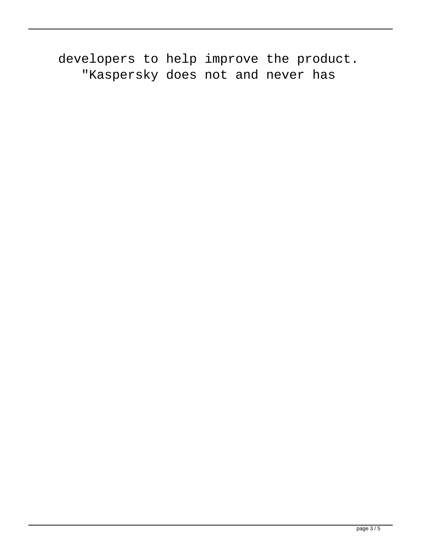developers to help improve the product. "Kaspersky does not and never has